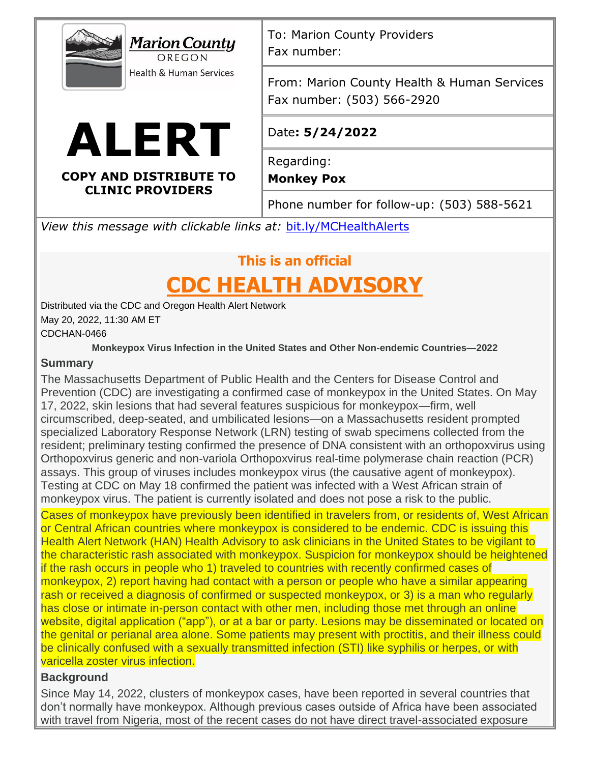



OREGON

**COPY AND DISTRIBUTE TO CLINIC PROVIDERS**

To: Marion County Providers Fax number:

From: Marion County Health & Human Services Fax number: (503) 566-2920

# Date**: 5/24/2022**

Regarding:

**Monkey Pox**

Phone number for follow-up: (503) 588-5621

*View this message with clickable links at:* [bit.ly/MCHealthAlerts](https://www.co.marion.or.us/HLT/PH/Epid/Pages/Alerts.aspx)

# **This is an official**

# **CDC HEALTH ADVISORY**

Distributed via the CDC and Oregon Health Alert Network May 20, 2022, 11:30 AM ET CDCHAN-0466

**Monkeypox Virus Infection in the United States and Other Non-endemic Countries—2022** 

## **Summary**

The Massachusetts Department of Public Health and the Centers for Disease Control and Prevention (CDC) are investigating a confirmed case of monkeypox in the United States. On May 17, 2022, skin lesions that had several features suspicious for monkeypox—firm, well circumscribed, deep-seated, and umbilicated lesions—on a Massachusetts resident prompted specialized Laboratory Response Network (LRN) testing of swab specimens collected from the resident; preliminary testing confirmed the presence of DNA consistent with an orthopoxvirus using Orthopoxvirus generic and non-variola Orthopoxvirus real-time polymerase chain reaction (PCR) assays. This group of viruses includes monkeypox virus (the causative agent of monkeypox). Testing at CDC on May 18 confirmed the patient was infected with a West African strain of monkeypox virus. The patient is currently isolated and does not pose a risk to the public.

Cases of monkeypox have previously been identified in travelers from, or residents of, West African or Central African countries where monkeypox is considered to be endemic. CDC is issuing this Health Alert Network (HAN) Health Advisory to ask clinicians in the United States to be vigilant to the characteristic rash associated with monkeypox. Suspicion for monkeypox should be heightened if the rash occurs in people who 1) traveled to countries with recently confirmed cases of monkeypox, 2) report having had contact with a person or people who have a similar appearing rash or received a diagnosis of confirmed or suspected monkeypox, or 3) is a man who regularly has close or intimate in-person contact with other men, including those met through an online website, digital application ("app"), or at a bar or party. Lesions may be disseminated or located on the genital or perianal area alone. Some patients may present with proctitis, and their illness could be clinically confused with a sexually transmitted infection (STI) like syphilis or herpes, or with varicella zoster virus infection.

### **Background**

Since May 14, 2022, clusters of monkeypox cases, have been reported in several countries that don't normally have monkeypox. Although previous cases outside of Africa have been associated with travel from Nigeria, most of the recent cases do not have direct travel-associated exposure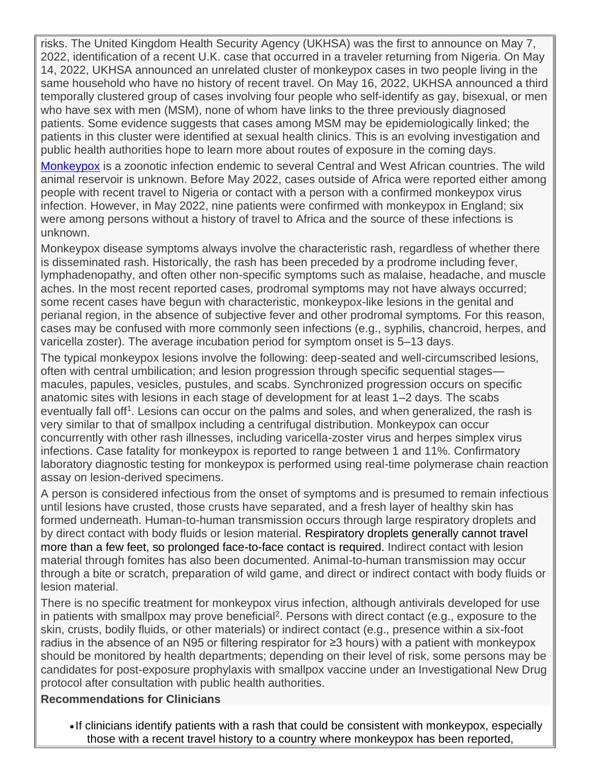risks. The United Kingdom Health Security Agency (UKHSA) was the first to announce on May 7, 2022, identification of a recent U.K. case that occurred in a traveler returning from Nigeria. On May 14, 2022, UKHSA announced an unrelated cluster of monkeypox cases in two people living in the same household who have no history of recent travel. On May 16, 2022, UKHSA announced a third temporally clustered group of cases involving four people who self-identify as gay, bisexual, or men who have sex with men (MSM), none of whom have links to the three previously diagnosed patients. Some evidence suggests that cases among MSM may be epidemiologically linked; the patients in this cluster were identified at sexual health clinics. This is an evolving investigation and public health authorities hope to learn more about routes of exposure in the coming days.

[Monkeypox](https://gcc02.safelinks.protection.outlook.com/?url=https%3A%2F%2Fwww.cdc.gov%2Fpoxvirus%2Fmonkeypox%2F&data=05%7C01%7CNick.MAY%40dhsoha.state.or.us%7Ce95a934e587d468367a408da3cfa966a%7C658e63e88d39499c8f4813adc9452f4c%7C0%7C0%7C637889344212919074%7CUnknown%7CTWFpbGZsb3d8eyJWIjoiMC4wLjAwMDAiLCJQIjoiV2luMzIiLCJBTiI6Ik1haWwiLCJXVCI6Mn0%3D%7C3000%7C%7C%7C&sdata=vcUCsCloMUMHM5h29pWDO15D1XkkWtyWo%2BtRTIvFrTI%3D&reserved=0) is a zoonotic infection endemic to several Central and West African countries. The wild animal reservoir is unknown. Before May 2022, cases outside of Africa were reported either among people with recent travel to Nigeria or contact with a person with a confirmed monkeypox virus infection. However, in May 2022, nine patients were confirmed with monkeypox in England; six were among persons without a history of travel to Africa and the source of these infections is unknown.

Monkeypox disease symptoms always involve the characteristic rash, regardless of whether there is disseminated rash. Historically, the rash has been preceded by a prodrome including fever, lymphadenopathy, and often other non-specific symptoms such as malaise, headache, and muscle aches. In the most recent reported cases, prodromal symptoms may not have always occurred; some recent cases have begun with characteristic, monkeypox-like lesions in the genital and perianal region, in the absence of subjective fever and other prodromal symptoms. For this reason, cases may be confused with more commonly seen infections (e.g., syphilis, chancroid, herpes, and varicella zoster). The average incubation period for symptom onset is 5–13 days.

The typical monkeypox lesions involve the following: deep-seated and well-circumscribed lesions, often with central umbilication; and lesion progression through specific sequential stages macules, papules, vesicles, pustules, and scabs. Synchronized progression occurs on specific anatomic sites with lesions in each stage of development for at least 1–2 days. The scabs eventually fall off<sup>1</sup>. Lesions can occur on the palms and soles, and when generalized, the rash is very similar to that of smallpox including a centrifugal distribution. Monkeypox can occur concurrently with other rash illnesses, including varicella-zoster virus and herpes simplex virus infections. Case fatality for monkeypox is reported to range between 1 and 11%. Confirmatory laboratory diagnostic testing for monkeypox is performed using real-time polymerase chain reaction assay on lesion-derived specimens.

A person is considered infectious from the onset of symptoms and is presumed to remain infectious until lesions have crusted, those crusts have separated, and a fresh layer of healthy skin has formed underneath. Human-to-human transmission occurs through large respiratory droplets and by direct contact with body fluids or lesion material. Respiratory droplets generally cannot travel more than a few feet, so prolonged face-to-face contact is required. Indirect contact with lesion material through fomites has also been documented. Animal-to-human transmission may occur through a bite or scratch, preparation of wild game, and direct or indirect contact with body fluids or lesion material.

There is no specific treatment for monkeypox virus infection, although antivirals developed for use in patients with smallpox may prove beneficial<sup>2</sup>. Persons with direct contact (e.g., exposure to the skin, crusts, bodily fluids, or other materials) or indirect contact (e.g., presence within a six-foot radius in the absence of an N95 or filtering respirator for ≥3 hours) with a patient with monkeypox should be monitored by health departments; depending on their level of risk, some persons may be candidates for post-exposure prophylaxis with smallpox vaccine under an Investigational New Drug protocol after consultation with public health authorities.

#### **Recommendations for Clinicians**

• If clinicians identify patients with a rash that could be consistent with monkeypox, especially those with a recent travel history to a country where monkeypox has been reported,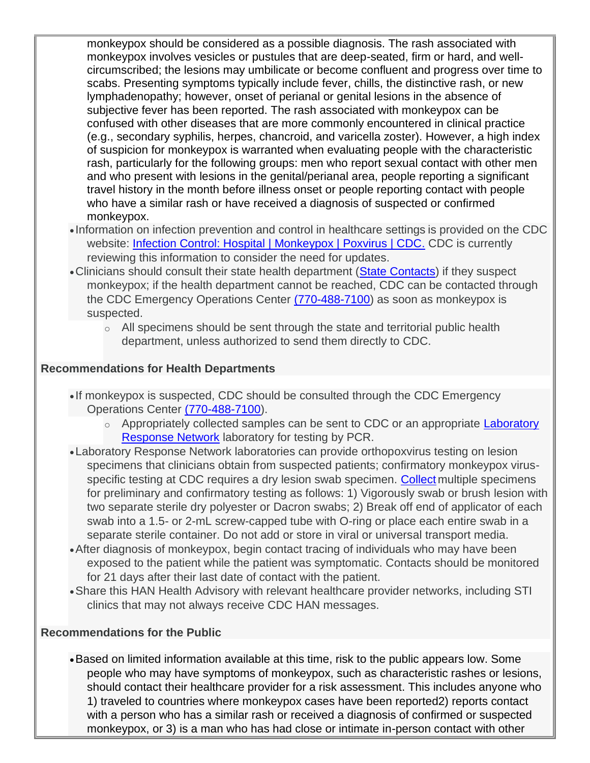monkeypox should be considered as a possible diagnosis. The rash associated with monkeypox involves vesicles or pustules that are deep-seated, firm or hard, and wellcircumscribed; the lesions may umbilicate or become confluent and progress over time to scabs. Presenting symptoms typically include fever, chills, the distinctive rash, or new lymphadenopathy; however, onset of perianal or genital lesions in the absence of subjective fever has been reported. The rash associated with monkeypox can be confused with other diseases that are more commonly encountered in clinical practice (e.g., secondary syphilis, herpes, chancroid, and varicella zoster). However, a high index of suspicion for monkeypox is warranted when evaluating people with the characteristic rash, particularly for the following groups: men who report sexual contact with other men and who present with lesions in the genital/perianal area, people reporting a significant travel history in the month before illness onset or people reporting contact with people who have a similar rash or have received a diagnosis of suspected or confirmed monkeypox.

- Information on infection prevention and control in healthcare settings is provided on the CDC website: [Infection Control: Hospital | Monkeypox | Poxvirus | CDC.](https://gcc02.safelinks.protection.outlook.com/?url=https%3A%2F%2Fwww.cdc.gov%2Fpoxvirus%2Fmonkeypox%2Fclinicians%2Finfection-control-hospital.html&data=05%7C01%7CNick.MAY%40dhsoha.state.or.us%7Ce95a934e587d468367a408da3cfa966a%7C658e63e88d39499c8f4813adc9452f4c%7C0%7C0%7C637889344212919074%7CUnknown%7CTWFpbGZsb3d8eyJWIjoiMC4wLjAwMDAiLCJQIjoiV2luMzIiLCJBTiI6Ik1haWwiLCJXVCI6Mn0%3D%7C3000%7C%7C%7C&sdata=hlNApahnlFPyxG0HpS%2B6uawVPA8b6rAdRvxT4VQqBQI%3D&reserved=0) CDC is currently reviewing this information to consider the need for updates.
- Clinicians should consult their state health department [\(State Contacts\)](https://gcc02.safelinks.protection.outlook.com/?url=https%3A%2F%2Fresources.cste.org%2Fepiafterhours&data=05%7C01%7CNick.MAY%40dhsoha.state.or.us%7Ce95a934e587d468367a408da3cfa966a%7C658e63e88d39499c8f4813adc9452f4c%7C0%7C0%7C637889344212919074%7CUnknown%7CTWFpbGZsb3d8eyJWIjoiMC4wLjAwMDAiLCJQIjoiV2luMzIiLCJBTiI6Ik1haWwiLCJXVCI6Mn0%3D%7C3000%7C%7C%7C&sdata=DXki5ipCBRViRnAban31V8kDabM8j1feAd0WV8UQaKo%3D&reserved=0) if they suspect monkeypox; if the health department cannot be reached, CDC can be contacted through the CDC Emergency Operations Center [\(770-488-7100\)](tel:7704887100) as soon as monkeypox is suspected.
	- $\circ$  All specimens should be sent through the state and territorial public health department, unless authorized to send them directly to CDC.

#### **Recommendations for Health Departments**

- If monkeypox is suspected, CDC should be consulted through the CDC Emergency Operations Center [\(770-488-7100\)](tel:7704887100).
	- o Appropriately collected samples can be sent to CDC or an appropriate Laboratory [Response Network](https://gcc02.safelinks.protection.outlook.com/?url=https%3A%2F%2Femergency.cdc.gov%2Flrn%2Findex.asp&data=05%7C01%7CNick.MAY%40dhsoha.state.or.us%7Ce95a934e587d468367a408da3cfa966a%7C658e63e88d39499c8f4813adc9452f4c%7C0%7C0%7C637889344212919074%7CUnknown%7CTWFpbGZsb3d8eyJWIjoiMC4wLjAwMDAiLCJQIjoiV2luMzIiLCJBTiI6Ik1haWwiLCJXVCI6Mn0%3D%7C3000%7C%7C%7C&sdata=bXjLmw8B1DxuTW9O%2FCD2HTxpNOzzidB0njtcbcrW%2BGM%3D&reserved=0) laboratory for testing by PCR.
- •Laboratory Response Network laboratories can provide orthopoxvirus testing on lesion specimens that clinicians obtain from suspected patients; confirmatory monkeypox virus-specific testing at CDC requires a dry lesion swab specimen. [Collect](https://gcc02.safelinks.protection.outlook.com/?url=https%3A%2F%2Fwww.cdc.gov%2Fpoxvirus%2Fmonkeypox%2Fclinicians%2Fprep-collection-specimens.html&data=05%7C01%7CNick.MAY%40dhsoha.state.or.us%7Ce95a934e587d468367a408da3cfa966a%7C658e63e88d39499c8f4813adc9452f4c%7C0%7C0%7C637889344212919074%7CUnknown%7CTWFpbGZsb3d8eyJWIjoiMC4wLjAwMDAiLCJQIjoiV2luMzIiLCJBTiI6Ik1haWwiLCJXVCI6Mn0%3D%7C3000%7C%7C%7C&sdata=0ifv6L1BFpEmPWWZZg45d4v8wW2%2FFPUhXawEyrtR2PE%3D&reserved=0) multiple specimens for preliminary and confirmatory testing as follows: 1) Vigorously swab or brush lesion with two separate sterile dry polyester or Dacron swabs; 2) Break off end of applicator of each swab into a 1.5- or 2-mL screw-capped tube with O-ring or place each entire swab in a separate sterile container. Do not add or store in viral or universal transport media.
- •After diagnosis of monkeypox, begin contact tracing of individuals who may have been exposed to the patient while the patient was symptomatic. Contacts should be monitored for 21 days after their last date of contact with the patient.
- •Share this HAN Health Advisory with relevant healthcare provider networks, including STI clinics that may not always receive CDC HAN messages.

#### **Recommendations for the Public**

•Based on limited information available at this time, risk to the public appears low. Some people who may have symptoms of monkeypox, such as characteristic rashes or lesions, should contact their healthcare provider for a risk assessment. This includes anyone who 1) traveled to countries where monkeypox cases have been reported2) reports contact with a person who has a similar rash or received a diagnosis of confirmed or suspected monkeypox, or 3) is a man who has had close or intimate in-person contact with other